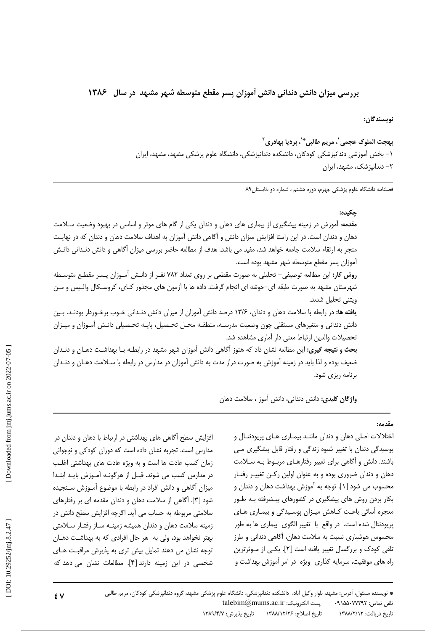## بررسی میزان دانش دندانی دانش آموزان پسر مقطع متوسطه شهر مشهد در سال ۱۳۸۶

نويسندگان:

بهجت الملوك عجمي'، مريم طالبي\*'، برديا بهادري ' ۱– بخش آموزشی دندانیزشکی کودکان، دانشکده دندانیزشکی، دانشگاه علوم پزشکی مشهد، مشهد، ایران ۲– دندانیزشک، مشهد، ایران

فصلنامه دانشگاه علوم پزشکی جهرم، دوره هشتم ، شماره دو ،تابستان۸۹

### حكىدە:

مقدمه: آموزش در زمینه پیشگیری از بیماری های دهان و دندان یکی از گام های موثر و اساسی در بهبود وضعیت سـلامت دهان و دندان است. در این راستا افزایش میزان دانش و آگاهی دانش آموزان به اهداف سلامت دهان و دندان که در نهایـت منجر به ارتقاء سلامت جامعه خواهد شد، مفید می باشد. هدف از مطالعه حاضر بررسی میزان آگاهی و دانش دنـدانی دانـش آموزان پسر مقطع متوسطه شهر مشهد بوده است.

روش کار: این مطالعه توصیفی– تحلیلی به صورت مقطعی بر روی تعداد ۷۸۲ نفـر از دانـش آمـوزان پـسر مقطـع متوسـطه شهرستان مشهد به صورت طبقه ای–خوشه ای انجام گرفت. داده ها با آزمون های مجذور کـای، کروسـکال والـیس و مـن ويتنى تحليل شدند.

**یافته ها:** در رابطه با سلامت دهان و دندان، ۱۳/۶ درصد دانش آموزان از میزان دانش دنـدانی خـوب برخـوردار بودنـد. بـین دانش دندانی و متغیرهای مستقلی چون وضعیت مدرسـه، منطقـه محـل تحـصیل، پایـه تحـصیلی دانـش آمـوزان و میـزان تحصيلات والدين ارتباط معنى دار آماري مشاهده شد.

بحث و نتیجه گیری: این مطالعه نشان داد که هنوز آگاهی دانش آموزان شهر مشهد در رابطـه بـا بهداشـت دهـان و دنـدان ضعیف بوده و لذا باید در زمینه آموزش به صورت دراز مدت به دانش آموزان در مدارس در رابطه با سـلامت دهـان و دنـدان برنامه ریزی شود.

واژگان کلیدی: دانش دندانی، دانش آموز ، سلامت دهان

مقدمه:

افزایش سطح آگاهی های بهداشتی در ارتباط با دهان و دندان در مدارس است. تجربه نشان داده است که دوران کودکی و نوجوانی زمان كسب عادت ها است و به ویژه عادت های بهداشتی اغلب در مدارس کسب می شوند. قبـل از هرگونـه آمـوزش بايـد ابتـدا میزان آگاهی و دانش افراد در رابطه با موضوع آمـوزش سـنجیده شود [۳]. آگاهی از سلامت دهان و دندان مقدمه ای بر رفتارهای سلامتی مربوطه به حساب می آید. اگرچه افزایش سطح دانش در زمینه سلامت دهان و دندان همیشه زمینـه سـاز رفتـار سـلامتی بهتر نخواهد بود، ولي به هر حال افرادي كه به بهداشت دهـان توجه نشان می دهند تمایل بیش تری به پذیرش مراقبت های شخصی در این زمینه دارند [۴]. مطالعات نشان می دهد که

اختلالات اصلی دهان و دندان ماننـد بیمـاری هـای پریودنتـال و پوسیدگی دندان با تغییر شیوه زندگی و رفتار قابل پیشگیری می باشند. دانش و آگاهی برای تغییر رفتارهـای مربـوط بـه سـلامت دهان و دندان ضروری بوده و به عنوان اولین رکن تغییر رفتار محسوب می شود [۱]. توجه به آموزش بهداشت دهان و دندان و بکار بردن روش های پیشگیری در کشورهای پیـشرفته بـه طـور معجره آسائی باعث کـاهش میـزان پوسـیدگی و بیمـاری هـای پریودنتال شده است. در واقع با تغییر الگوی بیماری ها به طور محسوس هوشیاری نسبت به سلامت دهان، آگاهی دندانی و طرز تلقی کودک و بزرگسال تغییر یافته است [۲]. یکسی از مـوثرترین راه های موفقیت، سرمایه گذاری ویژه در امر آموزش بهداشت و

 $\mathbf{\mathbf{f}}$  V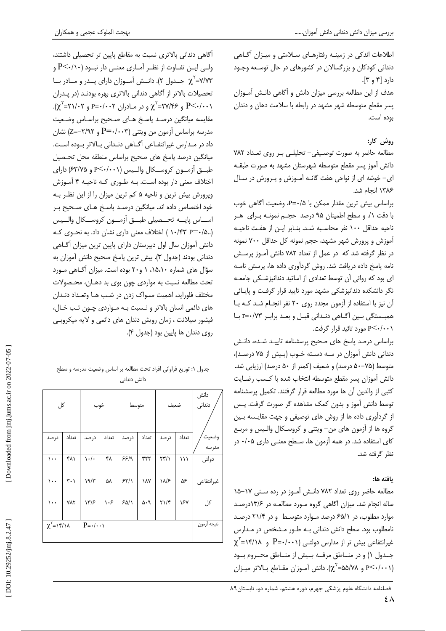اطلاعات اندکی در زمینـه رفتارهـای سـلامتی و میـزان آگـاهی دندانی کودکان و بزرگسالان در کشورهای در حال توسعه وجـود  $\mathcal{L}[\mathbf{r}_0 \mathbf{r}]$  دارد [۴ هدف از این مطالعه بررسی میزان دانش و آگاهی دانـش آمـوزان پسر مقطع متوسطه شهر مشهد در رابطه با سلامت دهان و دندان بوده است.

# روش کار:

مطالعه حاضر به صورت توصيفي- تحليلي بر روى تعداد ٧٨٢ دانش آموز پسر مقطع متوسطه شهرستان مشهد به صورت طبقـه ای- خوشه ای از نواحی هفت گانـه آمـوزش و پـرورش در سـال ١٣٨۶ انجام شد.

براساس بیش ترین مقدار ممکن با P=۰/۵، وضعیت آگاهی خوب با دقت ١/. و سطح اطمينان ٩٥ درصد حجم نمونـه بـراى هـر ناحیه حداقل ۱۰۰ نفر محاسبه شد. بنـابر ایـن از هفـت ناحیـه آموزش و پرورش شهر مشهد، حجم نمونه کل حداقل ۷۰۰ نمونه در نظر گرفته شد که در عمل از تعداد ۷۸۲ دانش آموز پرسش نامه پاسخ داده دریافت شد. روش گردآوری داده ها، پرسش نامـه ای بود که روائی آن توسط تعدادی از اساتید دندانپزشکی جامعـه نگر دانشکده دندانپزشکی مشهد مورد تایید قرار گرفت و پایائی آن نیز با استفاده از آزمون مجدد روی ۲۰ نفر انجام شد که با همبستگي ٻين آگـاهي دنـداني قبـل و بعـد برابـر ٢=٠/٧٣ بـا P<٠/٠٠١ مورد تائيد قرار گرفت.

براساس درصد ياسخ هاى صحيح يرسشنامه تاييد شده، دانـش دندانی دانش آموزان در سه دسته خـوب (بـیش از ۷۵ درصـد)، متوسط (۷۵–۵۰ درصد) و ضعیف (کمتر از ۵۰ درصد) ارزیابی شد. دانش آموزان پسر مقطع متوسطه انتخاب شده با كسب رضايت کتبی از والدین آن ها مورد مطالعه قرار گرفتند. تکمیل پرسشنامه توسط دانش آموز و بدون کمک مشاهده گر صورت گرفت. پس از گردآوری داده ها از روش های توصیفی و جهت مقایسه بین گروه ها از آزمون های من– ویتنی و کروسکال والـیس و مربـع کای استفاده شد. در همه آزمون ها، سطح معنی داری ۰/۰۵ در نظر گرفته شد.

## ىافته ها:

 $2\lambda$ 

مطالعه حاضر روى تعداد ٧٨٢ دانـش آمـوز در رده سـنى ١٧-١۵ ساله انجام شد. میزان آگاهی گروه مـورد مطالعـه در ۱۳/۶درصـد موارد مطلوب، در ۶۵/۱ درصد موارد متوسط و در ۲۱/۴ درصد نامطلوب بود. سطح دانش دندانی بـه طـور مـشخص در مـدارس  $\chi^{\check{}}$ غیرانتفاعی بیش تر از مدارس دولتـی (P=۰/۰۰۱ و ۱۴/۱۸= $\chi^{\check{}}$ جـدول ۱) و در منــاطق مرفــه بــیش از منــاطق محــروم بــود و ۵۵/۷۸= $\chi^{\nu}$ . دانش آمـوزان مقـاطع بـالاتر ميـزان P<۰/۰۰۱

آگاهی دندانی بالاتری نسبت به مقاطع پایین تر تحصیلی داشتند، ولـى ايـن تفـاوت از نظـر آمـارى معنـى دار نبـود (١٠/٠-P و  $\chi^{\rm V}$ =۷/۷۳ جــدول ۲). دانــش آمــوزان دارای یــدر و مــادر بــا تحصیلات بالاتر از آگاهی دندانی بالاتری بهره بودند (در پـدران  $\chi^{\tau}$ و ۲۷/۴۶=۲۷/۴۶ و در مادران ۲۰۰۲=۲ و ۲۱/۰۲ $\chi^{\tau}$ ۲۱/۰۲). مقايسه ميانگين درصـد ياسـخ هـاي صـحيح براسـاس وضـعيت مدرسه براساس آزمون من ويتني (P=۰/۰۰۳ و ۲/۹۲–Z=) نشان داد در مـدارس غیرانتفـاعی آگــاهی دنــدانی بــالاتر بــوده اســت. میانگین درصد پاسخ های صحیح براساس منطقه محل تحـصیل طبـــق آزمـــون كروســكال والــيس (۶۳/۷۵ و ۶۳/۷۵) داراي اختلاف معنی دار بوده است. بـه طـوری کـه ناحیـه ۴ آمـوزش ویرورش بیش ترین و ناحیه ۵ کم ترین میزان را از این نظـر بـه خود اختصاص داده اند. میانگین درصـد پاسـخ هـای صـحیح بـر اســاس يايـــه تحــصيلى طبـــق آزمـــون كروســكال والـــيس (.۰/۴۳ P=۰/۵ ) اختلاف معنى دارى نشان داد. به نحوى كـه دانش آموزان سال اول دبیرستان دارای پایین ترین میزان آگـاهی دندانی بودند (جدول ٣). بيش ترين پاسخ صحيح دانش آموزان به سؤال های شماره ۱۵،۱۰، ۱ و۲۰ بوده است. میزان آگـاهی مـورد تحت مطالعه نسبت به مواردی چون بوی بد دهـان، محـصولات مختلف فلوراید، اهمیت مسواک زدن در شب هـا وتعـداد دنـدان های دائمی انسان بالاتر و نـسبت بـه مـواردی چـون تـب خـال، فیشور سیلانت ، زمان رویش دندان های دائمی و لایه میکروبی روى دندان ها پايين بود (جدول ۴).

جدول ١: توزيع فراواني افراد تحت مطالعه بر اساس وضعيت مدرسه و سطح دانش دندانی

| کل                                                                     |                               | خوب                       |                                | متوسط |                     |                                 |       | دانش<br>دندانی  |
|------------------------------------------------------------------------|-------------------------------|---------------------------|--------------------------------|-------|---------------------|---------------------------------|-------|-----------------|
| درصد                                                                   | تعداد                         | در صد                     | تعداد                          | در صد | تعداد               | درصد                            | تعداد | وضعيت<br>مذر سه |
| $\mathcal{L}$ .                                                        | ۴۸۱                           | $\setminus \cdot / \cdot$ | ۴۸                             | 55/9  | ٣٢٢                 | $\Upsilon \Upsilon / \Upsilon$  | ۱۱۱   | دولتى           |
| $\mathcal{L}$ .                                                        | $\mathbf{r} \cdot \mathbf{v}$ | 19/7                      | ۵٨                             | 55/1  | ١٨٧                 | $\lambda/\epsilon$              | ۵۶    | غيرانتفاعى      |
| $\cdots$                                                               | <b>YAY</b>                    | $\frac{1}{\sqrt{2}}$      | $\backslash \cdot \mathcal{F}$ | 50/1  | $\rho \cdot \Delta$ | $\Gamma\backslash/\mathfrak{f}$ | ١۶٧   | کل              |
| $\chi^{\nu} = \frac{\mu}{\sqrt{2}}$<br>$P = \cdot / \cdot \cdot \cdot$ |                               |                           |                                |       |                     |                                 |       | نتيجه أزمون     |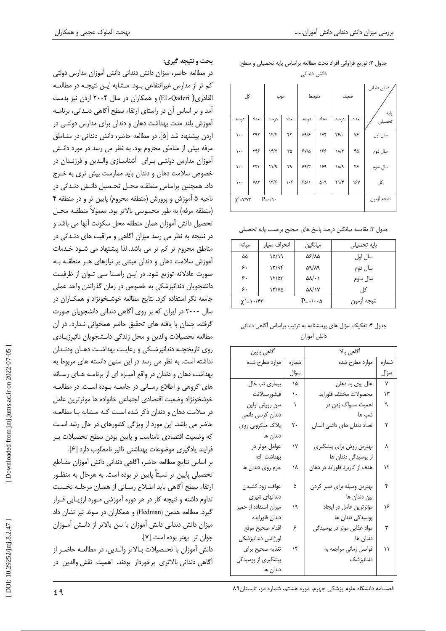| کل                                                          |       |      | خوب   |             | متوسط                       |                                | ضعيف  | دانش دندانی<br>پایه |
|-------------------------------------------------------------|-------|------|-------|-------------|-----------------------------|--------------------------------|-------|---------------------|
| درصد                                                        | تعداد | درصد | تعداد | درصد        | تعداد                       | درصد                           | تعداد | تحصيلى              |
| $\cdots$                                                    | ٢٩٢   | 15/5 | ۴۲    | 59/6        | ۱۷۴                         | ٢۶/٠                           | ٧۶    | سال اول             |
| ۱۰۰                                                         | ۲۴۶   | 15/7 | ٣۵    | $5V/\Delta$ | ۱۶۶                         | ۱۸/۳                           | ۴۵    | سال دوم             |
| $\mathcal{L}$ .                                             | ٢۴۴   | 11/9 | ٢٩    | 59/7        | ۱۶۹                         | ۱۸/۹                           | ۴۶    | سال سوم             |
| $\mathcal{L}$ .                                             | ٧٨٢   | 17/5 | ۱۰۶   | 50/1        | $\Delta \cdot \mathfrak{q}$ | $\Upsilon \backslash \Upsilon$ | ١۶٧   | کل                  |
| $\chi^{\prime} = \gamma/\gamma \tau$<br>$P = \cdot / \cdot$ |       |      |       |             |                             |                                |       | نتيجه أزمون         |

جدول ٢: توزيع فراواني افراد تحت مطالعه براساس پايه تحصيلي و سطح دانش دندانی

جدول ۳: مقایسه میانگین درصد پاسخ های صحیح برحسب پایه تحصیلی

| مىانە                   | انحراف معيار | ميانگين                          | یایه تحصیلی |
|-------------------------|--------------|----------------------------------|-------------|
| ۵۵                      | 10/19        | 56/15                            | سال اول     |
| ۶٠                      | 17/99        | 59/19                            | سال دوم     |
| ۶٠                      | 17/27        | $\Delta\lambda/\cdot$            | سال سوم     |
| ۶.                      | ۱۳/۷۵        | $\Delta\lambda/\gamma\gamma$     | کا ,        |
| $\chi^{\dagger} = 1.75$ |              | $P = \cdot / \cdot \cdot \Delta$ | نتيجه أزمون |

| جدول ۴: تفکیک سؤال های پرسشنامه به ترتیب براساس آگاهی دندانی |             |  |  |
|--------------------------------------------------------------|-------------|--|--|
|                                                              | دانش أموزان |  |  |

| آگاهی پایین           |       | آگاهی بالا                    |              |  |  |  |
|-----------------------|-------|-------------------------------|--------------|--|--|--|
| موارد مطرح شده        | شماره | موارد مطرح شده                | شماره        |  |  |  |
|                       | سؤال  |                               | سؤال         |  |  |  |
| بیماری تب خال         | ١۵    | علل بوي بد دهان               | $\mathsf{Y}$ |  |  |  |
| فيشورسيلانت           | ۱۰    | محصولات مختلف فلورايد         | ۱۳           |  |  |  |
| سن رويش اولين         | ١     | اهمیت مسواک زدن در            | ٩            |  |  |  |
| دندان کرسی دائمی      |       | شب ها                         |              |  |  |  |
| پلاک میکروبی روی      | ٢٠    | تعداد دندان های دائمی انسان   | ٢            |  |  |  |
| دندان ها              |       |                               |              |  |  |  |
| عوامل موثر در         | ۱۷    | بهترین روش برای پیشگیری       | ٨            |  |  |  |
| بهداشت لثه            |       | از پوسیدگی دندان ها           |              |  |  |  |
| جرم روى دندان ها      | ۱۸    | هدف از کاربرد فلوراید در دهان | ۱۲           |  |  |  |
|                       |       |                               |              |  |  |  |
| عواقب زود كشيدن       | ۵     | بهترين وسيله براى تميز كردن   | ۴            |  |  |  |
| دندانهای شیری         |       | بین دندان ها                  |              |  |  |  |
| میزان استفاده از خمیر | ۱۹    | مؤثرترین عامل در ایجاد        | ۱۶           |  |  |  |
| دندان فلورايده        |       | پوسیدگی دندان ها              |              |  |  |  |
| اقدام صحيح موقع       | ۶     | مواد غذایی موثر در پوسیدگی    | ٣            |  |  |  |
| اورژانس دندانپزشکی    |       | دندان ها                      |              |  |  |  |
| تغذيه صحيح براي       | ۱۴    | فواصل زماني مراجعه به         | ۱۱           |  |  |  |
| پیشگیری از پوسیدگی    |       | دندانپزشک                     |              |  |  |  |
| دندان ها              |       |                               |              |  |  |  |

## بحث و نتیجه گیری:

در مطالعه حاضر، میزان دانش دندانی دانش آموزان مدارس دولتی کم تر از مدارس غیرانتفاعی بـود. مـشابه ایـن نتیجـه در مطالعـه القادري( EL-Qaderi) و همكاران در سال ۲۰۰۴ اردن نيز بدست آمد و بر اساس آن در راستای ارتقاء سطح آگاهی دنـدانی، برنامـه آموزش بلند مدت بهداشت دهان و دندان برای مدارس دولتـی در اردن پیشنهاد شد [۵]. در مطالعه حاضر، دانش دندانی در منـاطق مرفه بیش از مناطق محروم بود. به نظر می رسد در مورد دانـش آموزان مدارس دولتے، بےرای آشناسـازی والـدین و فرزنـدان در خصوص سلامت دهان و دندان باید ممارست بیش تری به خـرج داد. همچنین براساس منطقـه محـل تحـصیل دانـش دنـدانی در ناحیه ۵ آموزش و پرورش (منطقه محروم) پایین تر و در منطقه ۴ (منطقه مرفه) به طور محسوسی بالاتر بود. معمولاً منطقــه محــل تحصیل دانش آموزان همان منطقه محل سکونت آنها می باشد و در نتیجه به نظر می رسد میزان آگاهی و مراقبت های دنـدانی در مناطق محروم تر کم تر می باشد. لذا پیشنهاد می شــود خــدمات آموزش سلامت دهان و دندان مبتنی بر نیازهای هـر منطقـه بـه صورت عادلانه توزیع شود. در ایـن راسـتا مـی تـوان از ظرفیـت دانشجویان دندانپزشکی به خصوص در زمان گذراندن واحد عملی جامعه نگر استفاده کرد. نتایج مطالعه خوشـخونژاد و همکـاران در سال ۲۰۰۰ در ایران که بر روی آگاهی دندانی دانشجویان صورت گرفته، چندان با یافته های تحقیق حاضر همخوانی نـدارد. در آن مطالعه تحصيلات والدين و محل زندگي دانـشجويان تاثيرزيـادي روی تاریخچـه دندانپزشـکی و رعایـت بهداشـت دهـان ودنـدان نداشته است. به نظر می رسد در این سنین دانسته های مربوط به بهداشت دهان و دندان در واقع آمیـزه ای از برنامـه هـای رسـانه های گروهی و اطلاع رسـانی در جامعـه بــوده اسـت. در مطالعــه خوشخونژاد وضعيت اقتصادى اجتماعي خانواده ها موثرترين عامل در سلامت دهان و دندان ذکر شده است کـه مـشابه بـا مطالعـه حاضر می باشد. این مورد از ویژگی کشورهای در حال رشد است که وضعیت اقتصادی نامناسب و پایین بودن سطح تحصیلات بـر فرايند يادكيرى موضوعات بهداشتى تاثير نامطلوب دارد [۶].

بر اساس نتايج مطالعه حاضر، آگاهي دنداني دانش آموزان مقــاطع تحصیلی پایین تر نسبتاً پایین تر بوده است. به هرحال به منظـور ارتقاء سطح أگاهي بايد اطلاع رسـاني از همـان مرحلـه نخـست تداوم داشته و نتیجه کار در هر دوره آموزشی مـورد ارزیـابی قـرار گیرد. مطالعه هدمن (Hedman) و همکاران در سوئد نیز نشان داد میزان دانش دندانی دانش آموزان با سن بالاتر از دانـش آمــوزان جوان تر بهتر بوده است [٧].

دانش آموزان با تحـصیلات بـالاتر والـدین، در مطالعـه حاضـر از آگاهي دنداني بالاتري برخوردار بودند. اهميت نقش والدين در

 $59$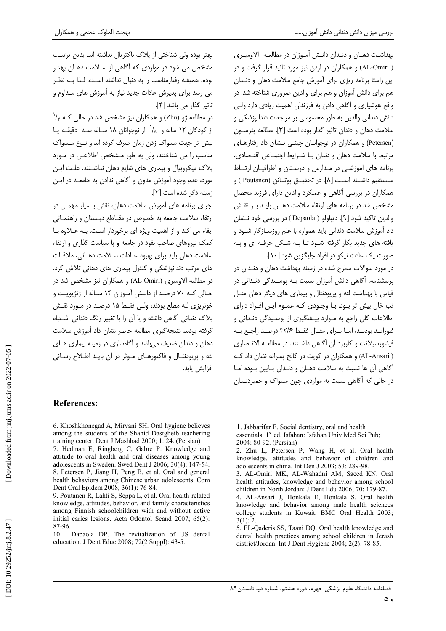بهداشت دهـان و دنـدان دانـش آمـوزان در مطالعـه الاوميـرى ( AL-Omiri) و همکاران در اردن نیز مورد تائید قرار گرفت و در این راستا برنامه ریزی برای آموزش جامع سلامت دهان و دنـدان هم برای دانش آموزان و هم برای والدین ضروری شناخته شد. در واقع هوشیاری و آگاهی دادن به فرزندان اهمیت زیادی دارد ولی دانش دندانی والدین به طور محسوسی بر مراجعات دندانپزشکی و سلامت دهان و دندان تاثیر گذار بوده است [۳]. مطالعه پترسـون (Petersen) و همکاران در نوجوانان چینی نشان داد رفتارهای مرتبط با سلامت دهان و دندان بـا شـرايط اجتمـاعي اقتـصادي، برنامه های آموزشی در مدارس و دوستان و اطرافیـان ارتبـاط مـستقيم داشــته اســت [٨]. در تحقيــق يوتــانن (Poutanen ) و همکاران در بررسی آگاهی و عملکرد والدین دارای فرزند محصل مشخص شد در برنامه های ارتقاء سلامت دهـان بایـد بـر نقـش والدين تاكيد شود [٩]. ديياولو ( Depaola ) در بررسي خود نــشان داد آموزش سلامت دندانی باید همواره با علم روزسـازگار شـود و یافته های جدید بکار گرفته شـود تـا بـه شـکل حرفـه ای و بـه صورت یک عادت نیکو در افراد جایگزین شود [۱۰].

در مورد سوالات مطرح شده در زمینه بهداشت دهان و دنـدان در پرسشنامه، آگاهی دانش آموزان نسبت بـه پوسـیدگی دنـدانی در قیاس با بهداشت لثه و پریودنتال و بیماری های دیگر دهان مثـل تب خال بیش تر بود. بـا وجـودی کـه عمـوم ایـن افـراد دارای اطلاعات کلی راجع به مـوارد پیـشگیری از پوسـیدگی دنـدانی و فلورايد بودند، امـا بـراى مثـال فقـط ٣٢/۶ درصـد راجـع بـه فیشورسیلانت و کاربرد آن آگاهی داشتند. در مطالعـه الانـصاری ( AL-Ansari) و همکاران در کویت در کالج پسرانه نشان داد ک آگاهی آن ها نسبت به سلامت دهـان و دنـدان پـایین بـوده امـا در حالی که آگاهی نسبت به مواردی چون مسواک و خمیردنـدان

بهتر بوده ولی شناختی از پلاک باکتریال نداشته اند. بدین ترتیب مشخص می شود در مواردی که آگاهی از سـلامت دهـان بهتـر بوده، همیشه رفتارمناسب را به دنبال نداشته است. لـذا بـه نظـر می رسد برای پذیرش عادات جدید نیاز به آموزش های مـداوم و تاثیر گذار می باشد [۴].

در مطالعه ژو (Zhu) و همکاران نیز مشخص شد در حالی کـه ۰/۲ از کودکان ۱۲ ساله و  $\langle \rangle'$  از نوجوانان ۱۸ سـاله سـه دقیقـه یـا بیش تر جهت مسواک زدن زمان صرف کرده اند و نـوع مـسواک مناسب را می شناختند، ولی به طور مـشخص اطلاعـی در مـورد پلاک میکروبیال و بیماری های شایع دهان نداشتند. علت ایـن مورد، عدم وجود آموزش مدون و آگاهی ندادن به جامعـه در ایـن زمينه ذكر شده است [٢].

اجرای برنامه های آموزش سلامت دهان، نقش بـسیار مهمـی در ارتقاء سلامت جامعه به خصوص در مقـاطع دبـستان و راهنمـائی ایفاء می کند و از اهمیت ویژه ای برخوردار است. بـه عـلاوه بـا کمک نیروهای صاحب نفوذ در جامعه و با سیاست گذاری و ارتقاء سلامت دهان بايد براى بهبود عـادات سـلامت دهـانى، ملاقـات های مرتب دندانیزشکی و کنترل بیماری های دهانی تلاش کرد. در مطالعه الاومیری (AL-Omiri) و همکاران نیز مشخص شد در حـالی کـه ۷۰ درصـد از دانـش آمـوزان ۱۴ سـاله از ژنژیویـت و خونریزی لثه مطلع بودند، ولی فقط ۱۵ درصد در مورد نقش یلاک دندانی آگاهی داشته و یا آن را با تغییر رنگ دندانی اشـتباه گرفته بودند. نتیجهگیری مطالعه حاضر نشان داد آموزش سلامت دهان و دندان ضعیف می باشد و آگاهسازی در زمینه بیماری هـای لثه و پريودنتـال و فاكتورهـاي مـوثر در آن بايـد اطـلاع رسـاني افزايش يابد.

# **References:**

6. Khoshkhonegad A, Mirvani SH. Oral hygiene believes among the students of the Shahid Dastgheib teachering training center. Dent J Mashhad 2000; 1: 24. (Persian)

7. Hedman E, Ringberg C, Gabre P. Knowledge and attitude to oral health and oral diseases among young adolescents in Sweden. Swed Dent J 2006: 30(4): 147-54. 8. Petersen P. Jiang H. Peng B. et al. Oral and general health behaviors among Chinese urban adolescents. Com Dent Oral Epidem 2008; 36(1): 76-84.

9. Poutanen R, Lahti S, Seppa L, et al. Oral health-related knowledge, attitudes, behavior, and family characteristics among Finnish schoolchildren with and without active initial caries lesions. Acta Odontol Scand 2007; 65(2): 87-96.

Dapaola DP. The revitalization of US dental  $10<sup>1</sup>$ education. J Dent Educ 2008; 72(2 Suppl): 43-5.

 $\circ$ .

<sup>1.</sup> Jabbarifar E. Social dentistry, oral and health

essentials. 1<sup>st</sup> ed. Isfahan: Isfahan Univ Med Sci Pub: 2004: 80-92. (Persian)

<sup>2.</sup> Zhu L, Petersen P, Wang H, et al. Oral health knowledge, attitudes and behavior of children and adolescents in china. Int Den J 2003; 53: 289-98.

<sup>3.</sup> AL-Omiri MK, AL-Wahadni AM, Saeed KN. Oral health attitudes, knowledge and behavior among school children in North Jordan: J Dent Edu 2006; 70: 179-87.

<sup>4.</sup> AL-Ansari J, Honkala E, Honkala S. Oral health knowledge and behavior among male health sciences college students in Kuwait. BMC Oral Health 2003;  $3(1): 2$ 

<sup>5.</sup> EL-Qaderis SS, Taani DQ. Oral health knowledge and dental health practices among school children in Jerash district/Jordan. Int J Dent Hygiene 2004; 2(2): 78-85.